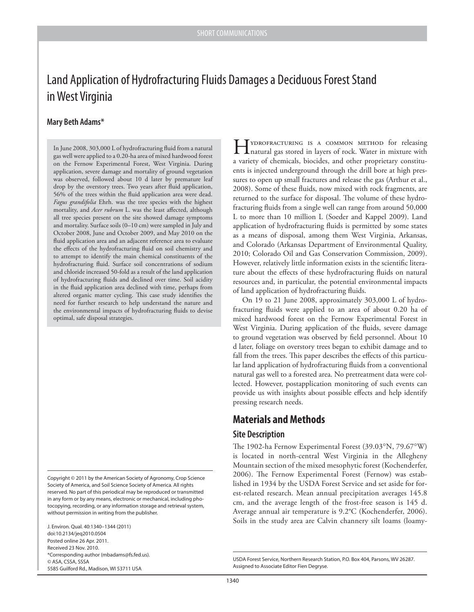# Land Application of Hydrofracturing Fluids Damages a Deciduous Forest Stand in West Virginia

### **Mary Beth Adams\***

In June 2008, 303,000 L of hydrofracturing fluid from a natural gas well were applied to a 0.20-ha area of mixed hardwood forest on the Fernow Experimental Forest, West Virginia. During application, severe damage and mortality of ground vegetation was observed, followed about 10 d later by premature leaf drop by the overstory trees. Two years after fluid application, 56% of the trees within the fluid application area were dead. *Fagus grandifolia* Ehrh. was the tree species with the highest mortality, and *Acer rubrum* L. was the least affected, although all tree species present on the site showed damage symptoms and mortality. Surface soils (0–10 cm) were sampled in July and October 2008, June and October 2009, and May 2010 on the fluid application area and an adjacent reference area to evaluate the effects of the hydrofracturing fluid on soil chemistry and to attempt to identify the main chemical constituents of the hydrofracturing fluid. Surface soil concentrations of sodium and chloride increased 50-fold as a result of the land application of hydrofracturing fluids and declined over time. Soil acidity in the fluid application area declined with time, perhaps from altered organic matter cycling. This case study identifies the need for further research to help understand the nature and the environmental impacts of hydrofracturing fluids to devise optimal, safe disposal strategies.

J. Environ. Qual. 40:1340–1344 (2011) doi:10.2134/jeq2010.0504 Posted online 26 Apr. 2011. Received 23 Nov. 2010. \*Corresponding author (mbadams@fs.fed.us). © ASA, CSSA, SSSA 5585 Guilford Rd., Madison, WI 53711 USA

Hydrofracturing is a common method for releasing natural gas stored in layers of rock. Water in mixture with a variety of chemicals, biocides, and other proprietary constituents is injected underground through the drill bore at high pressures to open up small fractures and release the gas (Arthur et al., 2008). Some of these fluids, now mixed with rock fragments, are returned to the surface for disposal. The volume of these hydrofracturing fluids from a single well can range from around 50,000 L to more than 10 million L (Soeder and Kappel 2009). Land application of hydrofracturing fluids is permitted by some states as a means of disposal, among them West Virginia, Arkansas, and Colorado (Arkansas Department of Environmental Quality, 2010; Colorado Oil and Gas Conservation Commission, 2009). However, relatively little information exists in the scientific literature about the effects of these hydrofracturing fluids on natural resources and, in particular, the potential environmental impacts of land application of hydrofracturing fluids.

On 19 to 21 June 2008, approximately 303,000 L of hydrofracturing fluids were applied to an area of about 0.20 ha of mixed hardwood forest on the Fernow Experimental Forest in West Virginia. During application of the fluids, severe damage to ground vegetation was observed by field personnel. About 10 d later, foliage on overstory trees began to exhibit damage and to fall from the trees. This paper describes the effects of this particular land application of hydrofracturing fluids from a conventional natural gas well to a forested area. No pretreatment data were collected. However, postapplication monitoring of such events can provide us with insights about possible effects and help identify pressing research needs.

## **Materials and Methods**

#### **Site Description**

The 1902-ha Fernow Experimental Forest (39.03°N, 79.67°W) is located in north-central West Virginia in the Allegheny Mountain section of the mixed mesophytic forest (Kochenderfer, 2006). The Fernow Experimental Forest (Fernow) was established in 1934 by the USDA Forest Service and set aside for forest-related research. Mean annual precipitation averages 145.8 cm, and the average length of the frost-free season is 145 d. Average annual air temperature is 9.2°C (Kochenderfer, 2006). Soils in the study area are Calvin channery silt loams (loamy-

Copyright © 2011 by the American Society of Agronomy, Crop Science Society of America, and Soil Science Society of America. All rights reserved. No part of this periodical may be reproduced or transmitted in any form or by any means, electronic or mechanical, including photocopying, recording, or any information storage and retrieval system, without permission in writing from the publisher.

USDA Forest Service, Northern Research Station, P.O. Box 404, Parsons, WV 26287. Assigned to Associate Editor Fien Degryse.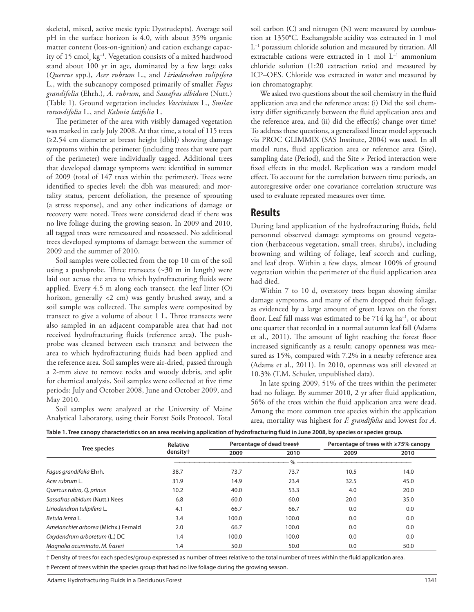skeletal, mixed, active mesic typic Dystrudepts). Average soil pH in the surface horizon is 4.0, with about 35% organic matter content (loss-on-ignition) and cation exchange capacity of 15 cmol $_{\rm c}$  kg<sup>-1</sup>. Vegetation consists of a mixed hardwood stand about 100 yr in age, dominated by a few large oaks (*Quercus* spp.), *Acer rubrum* L., and *Liriodendron tulipifera* L., with the subcanopy composed primarily of smaller *Fagus grandifolia* (Ehrh.), *A. rubrum*, and *Sassafras albidum* (Nutt.) (Table 1). Ground vegetation includes *Vaccinium* L., *Smilax rotundifolia* L., and *Kalmia latifolia* L.

The perimeter of the area with visibly damaged vegetation was marked in early July 2008. At that time, a total of 115 trees (≥2.54 cm diameter at breast height [dbh]) showing damage symptoms within the perimeter (including trees that were part of the perimeter) were individually tagged. Additional trees that developed damage symptoms were identified in summer of 2009 (total of 147 trees within the perimeter). Trees were identified to species level; the dbh was measured; and mortality status, percent defoliation, the presence of sprouting (a stress response), and any other indications of damage or recovery were noted. Trees were considered dead if there was no live foliage during the growing season. In 2009 and 2010, all tagged trees were remeasured and reassessed. No additional trees developed symptoms of damage between the summer of 2009 and the summer of 2010.

Soil samples were collected from the top 10 cm of the soil using a pushprobe. Three transects (∼30 m in length) were laid out across the area to which hydrofracturing fluids were applied. Every 4.5 m along each transect, the leaf litter (Oi horizon, generally <2 cm) was gently brushed away, and a soil sample was collected. The samples were composited by transect to give a volume of about 1 L. Three transects were also sampled in an adjacent comparable area that had not received hydrofracturing fluids (reference area). The pushprobe was cleaned between each transect and between the area to which hydrofracturing fluids had been applied and the reference area. Soil samples were air-dried, passed through a 2-mm sieve to remove rocks and woody debris, and split for chemical analysis. Soil samples were collected at five time periods: July and October 2008, June and October 2009, and May 2010.

Soil samples were analyzed at the University of Maine Analytical Laboratory, using their Forest Soils Protocol. Total soil carbon (C) and nitrogen (N) were measured by combustion at 1350°C. Exchangeable acidity was extracted in 1 mol L<sup>−</sup><sup>1</sup> potassium chloride solution and measured by titration. All extractable cations were extracted in 1 mol L<sup>-1</sup> ammonium chloride solution (1:20 extraction ratio) and measured by ICP–OES. Chloride was extracted in water and measured by ion chromatography.

We asked two questions about the soil chemistry in the fluid application area and the reference areas: (i) Did the soil chemistry differ significantly between the fluid application area and the reference area, and  $(ii)$  did the effect $(s)$  change over time? To address these questions, a generalized linear model approach via PROC GLIMMIX (SAS Institute, 2004) was used. In all model runs, fluid application area or reference area (Site), sampling date (Period), and the Site  $\times$  Period interaction were fixed effects in the model. Replication was a random model effect. To account for the correlation between time periods, an autoregressive order one covariance correlation structure was used to evaluate repeated measures over time.

## **Results**

During land application of the hydrofracturing fluids, field personnel observed damage symptoms on ground vegetation (herbaceous vegetation, small trees, shrubs), including browning and wilting of foliage, leaf scorch and curling, and leaf drop. Within a few days, almost 100% of ground vegetation within the perimeter of the fluid application area had died.

Within 7 to 10 d, overstory trees began showing similar damage symptoms, and many of them dropped their foliage, as evidenced by a large amount of green leaves on the forest floor. Leaf fall mass was estimated to be 714 kg ha<sup>-1</sup>, or about one quarter that recorded in a normal autumn leaf fall (Adams et al., 2011). The amount of light reaching the forest floor increased significantly as a result; canopy openness was measured as 15%, compared with 7.2% in a nearby reference area (Adams et al., 2011). In 2010, openness was still elevated at 10.3% (T.M. Schuler, unpublished data).

In late spring 2009, 51% of the trees within the perimeter had no foliage. By summer 2010, 2 yr after fluid application, 56% of the trees within the fluid application area were dead. Among the more common tree species within the application area, mortality was highest for *F. grandifolia* and lowest for *A.* 

|  |  | Table 1. Tree canopy characteristics on an area receiving application of hydrofracturing fluid in June 2008, by species or species group. |
|--|--|-------------------------------------------------------------------------------------------------------------------------------------------|
|--|--|-------------------------------------------------------------------------------------------------------------------------------------------|

| <b>Tree species</b>                  | Relative             | Percentage of dead trees‡ |       | Percentage of trees with ≥75% canopy |      |
|--------------------------------------|----------------------|---------------------------|-------|--------------------------------------|------|
|                                      | density <sup>+</sup> | 2009                      | 2010  | 2009                                 | 2010 |
|                                      |                      |                           | $\%$  |                                      |      |
| Fagus grandifolia Ehrh.              | 38.7                 | 73.7                      | 73.7  | 10.5                                 | 14.0 |
| Acer rubrum L.                       | 31.9                 | 14.9                      | 23.4  | 32.5                                 | 45.0 |
| Quercus rubra, Q. prinus             | 10.2                 | 40.0                      | 53.3  | 4.0                                  | 20.0 |
| Sassafras albidum (Nutt.) Nees       | 6.8                  | 60.0                      | 60.0  | 20.0                                 | 35.0 |
| Liriodendron tulipifera L.           | 4.1                  | 66.7                      | 66.7  | 0.0                                  | 0.0  |
| Betula lenta L.                      | 3.4                  | 100.0                     | 100.0 | 0.0                                  | 0.0  |
| Amelanchier arborea (Michx.) Fernald | 2.0                  | 66.7                      | 100.0 | 0.0                                  | 0.0  |
| Oxydendrum arboretum (L.) DC         | 1.4                  | 100.0                     | 100.0 | 0.0                                  | 0.0  |
| Magnolia acuminata, M. fraseri       | 1.4                  | 50.0                      | 50.0  | 0.0                                  | 50.0 |

† Density of trees for each species/group expressed as number of trees relative to the total number of trees within the fluid application area. ‡ Percent of trees within the species group that had no live foliage during the growing season.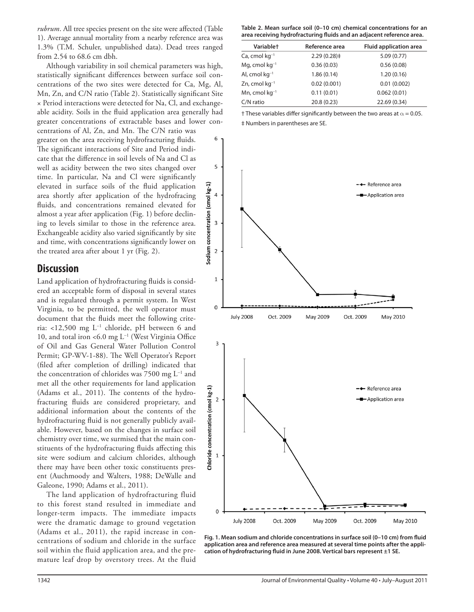*rubrum*. All tree species present on the site were affected (Table 1). Average annual mortality from a nearby reference area was 1.3% (T.M. Schuler, unpublished data). Dead trees ranged from 2.54 to 68.6 cm dbh.

Although variability in soil chemical parameters was high, statistically significant differences between surface soil concentrations of the two sites were detected for Ca, Mg, Al, Mn, Zn, and C/N ratio (Table 2). Statistically significant Site × Period interactions were detected for Na, Cl, and exchangeable acidity. Soils in the fluid application area generally had greater concentrations of extractable bases and lower con-

centrations of Al, Zn, and Mn. The C/N ratio was greater on the area receiving hydrofracturing fluids. The significant interactions of Site and Period indicate that the difference in soil levels of Na and Cl as well as acidity between the two sites changed over time. In particular, Na and Cl were significantly elevated in surface soils of the fluid application area shortly after application of the hydrofracing fluids, and concentrations remained elevated for almost a year after application (Fig. 1) before declining to levels similar to those in the reference area. Exchangeable acidity also varied significantly by site and time, with concentrations significantly lower on the treated area after about 1 yr (Fig. 2).

## **Discussion**

Land application of hydrofracturing fluids is considered an acceptable form of disposal in several states and is regulated through a permit system. In West Virginia, to be permitted, the well operator must document that the fluids meet the following criteria: <12,500 mg L<sup>−</sup><sup>1</sup> chloride, pH between 6 and 10, and total iron <6.0 mg L<sup>-1</sup> (West Virginia Office of Oil and Gas General Water Pollution Control Permit; GP-WV-1-88). The Well Operator's Report (filed after completion of drilling) indicated that the concentration of chlorides was 7500 mg L<sup>−</sup><sup>1</sup> and met all the other requirements for land application (Adams et al., 2011). The contents of the hydrofracturing fluids are considered proprietary, and additional information about the contents of the hydrofracturing fluid is not generally publicly available. However, based on the changes in surface soil chemistry over time, we surmised that the main constituents of the hydrofracturing fluids affecting this site were sodium and calcium chlorides, although there may have been other toxic constituents present (Auchmoody and Walters, 1988; DeWalle and Galeone, 1990; Adams et al., 2011).

The land application of hydrofracturing fluid to this forest stand resulted in immediate and longer-term impacts. The immediate impacts were the dramatic damage to ground vegetation (Adams et al., 2011), the rapid increase in concentrations of sodium and chloride in the surface soil within the fluid application area, and the premature leaf drop by overstory trees. At the fluid

**Table 2. Mean surface soil (0–10 cm) chemical concentrations for an**  area receiving hydrofracturing fluids and an adjacent reference area.

| <b>Variablet</b>       | Reference area | <b>Fluid application area</b> |
|------------------------|----------------|-------------------------------|
| $Ca$ , cmol $kg^{-1}$  | 2.29(0.28)     | 5.09(0.77)                    |
| Mg, cmol $kq^{-1}$     | 0.36(0.03)     | 0.56(0.08)                    |
| Al, cmol $kq^{-1}$     | 1.86(0.14)     | 1.20(0.16)                    |
| $Zn$ , cmol kg $^{-1}$ | 0.02(0.001)    | 0.01(0.002)                   |
| Mn, cmol $kq^{-1}$     | 0.11(0.01)     | 0.062(0.01)                   |
| C/N ratio              | 20.8 (0.23)    | 22.69 (0.34)                  |

| † These variables differ significantly between the two areas at $\alpha$ = 0.05. |
|----------------------------------------------------------------------------------|
| # Numbers in parentheses are SE.                                                 |



Fig. 1. Mean sodium and chloride concentrations in surface soil (0-10 cm) from fluid **application area and reference area measured at several time points after the appli**cation of hydrofracturing fluid in June 2008. Vertical bars represent ±1 SE.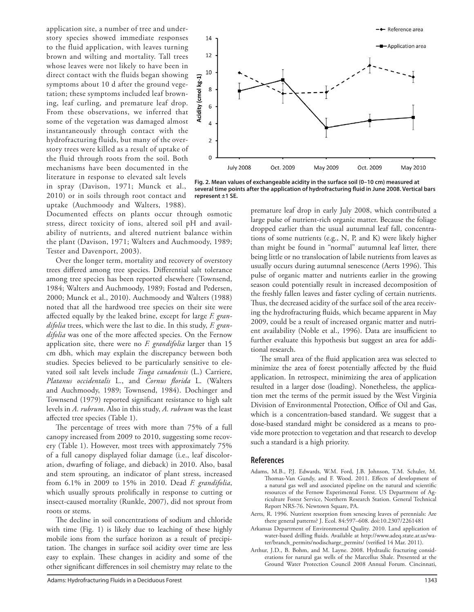application site, a number of tree and understory species showed immediate responses to the fluid application, with leaves turning brown and wilting and mortality. Tall trees whose leaves were not likely to have been in direct contact with the fluids began showing symptoms about 10 d after the ground vegetation; these symptoms included leaf browning, leaf curling, and premature leaf drop. From these observations, we inferred that some of the vegetation was damaged almost instantaneously through contact with the hydrofracturing fluids, but many of the overstory trees were killed as a result of uptake of the fluid through roots from the soil. Both mechanisms have been documented in the literature in response to elevated salt levels in spray (Davison, 1971; Munck et al., 2010) or in soils through root contact and uptake (Auchmoody and Walters, 1988).

-+ Reference area 14 Annlication area  $12$ 10  $kg - 1)$ 8 (cmol **Acidity** 6  $\overline{4}$  $\overline{2}$  $\overline{0}$ **July 2008** Oct. 2009 May 2009 Oct. 2009 May 2010

**Fig. 2. Mean values of exchangeable acidity in the surface soil (0–10 cm) measured at several time points after the application of hydrofracturing fl uid in June 2008. Vertical bars represent ±1 SE.** 

Documented effects on plants occur through osmotic stress, direct toxicity of ions, altered soil pH and availability of nutrients, and altered nutrient balance within the plant (Davison, 1971; Walters and Auchmoody, 1989; Tester and Davenport, 2003).

Over the longer term, mortality and recovery of overstory trees differed among tree species. Differential salt tolerance among tree species has been reported elsewhere (Townsend, 1984; Walters and Auchmoody, 1989; Fostad and Pedersen, 2000; Munck et al., 2010). Auchmoody and Walters (1988) noted that all the hardwood tree species on their site were affected equally by the leaked brine, except for large *F. grandifolia* trees, which were the last to die. In this study, *F. gran*difolia was one of the more affected species. On the Fernow application site, there were no *F. grandifolia* larger than 15 cm dbh, which may explain the discrepancy between both studies. Species believed to be particularly sensitive to elevated soil salt levels include *Tsuga canadensis* (L.) Carriere, *Platanus occidentalis* L., and *Cornus florida* L. (Walters and Auchmoody, 1989; Townsend, 1984). Dochinger and Townsend (1979) reported significant resistance to high salt levels in *A. rubrum*. Also in this study, *A. rubrum* was the least affected tree species (Table 1).

The percentage of trees with more than 75% of a full canopy increased from 2009 to 2010, suggesting some recovery (Table 1). However, most trees with approximately 75% of a full canopy displayed foliar damage (i.e., leaf discoloration, dwarfing of foliage, and dieback) in 2010. Also, basal and stem sprouting, an indicator of plant stress, increased from 6.1% in 2009 to 15% in 2010. Dead *F. grandifolia*, which usually sprouts prolifically in response to cutting or insect-caused mortality (Runkle, 2007), did not sprout from roots or stems.

The decline in soil concentrations of sodium and chloride with time (Fig. 1) is likely due to leaching of these highly mobile ions from the surface horizon as a result of precipitation. The changes in surface soil acidity over time are less easy to explain. These changes in acidity and some of the other significant differences in soil chemistry may relate to the premature leaf drop in early July 2008, which contributed a large pulse of nutrient-rich organic matter. Because the foliage dropped earlier than the usual autumnal leaf fall, concentrations of some nutrients (e.g., N, P, and K) were likely higher than might be found in "normal" autumnal leaf litter, there being little or no translocation of labile nutrients from leaves as usually occurs during autumnal senescence (Aerts 1996). This pulse of organic matter and nutrients earlier in the growing season could potentially result in increased decomposition of the freshly fallen leaves and faster cycling of certain nutrients. Thus, the decreased acidity of the surface soil of the area receiving the hydrofracturing fluids, which became apparent in May 2009, could be a result of increased organic matter and nutrient availability (Noble et al., 1996). Data are insufficient to further evaluate this hypothesis but suggest an area for additional research.

The small area of the fluid application area was selected to minimize the area of forest potentially affected by the fluid application. In retrospect, minimizing the area of application resulted in a larger dose (loading). Nonetheless, the application met the terms of the permit issued by the West Virginia Division of Environmental Protection, Office of Oil and Gas, which is a concentration-based standard. We suggest that a dose-based standard might be considered as a means to provide more protection to vegetation and that research to develop such a standard is a high priority.

#### **References**

- Adams, M.B., P.J. Edwards, W.M. Ford, J.B. Johnson, T.M. Schuler, M. Thomas-Van Gundy, and F. Wood. 2011. Effects of development of a natural gas well and associated pipeline on the natural and scientific resources of the Fernow Experimental Forest. US Department of Agriculture Forest Service, Northern Research Station. General Technical Report NRS-76. Newtown Square, PA.
- Aerts, R. 1996. Nutrient resorption from senescing leaves of perennials: Are there general patterns? J. Ecol. 84:597–608. doi:10.2307/2261481
- Arkansas Department of Environmental Quality. 2010. Land application of water-based drilling fluids. Available at http://www.adeq.state.ar.us/water/branch\_permits/nodischarge\_permits/ (verified 14 Mar. 2011).
- Arthur, J.D., B. Bohm, and M. Layne. 2008. Hydraulic fracturing considerations for natural gas wells of the Marcellus Shale. Presented at the Ground Water Protection Council 2008 Annual Forum. Cincinnati,